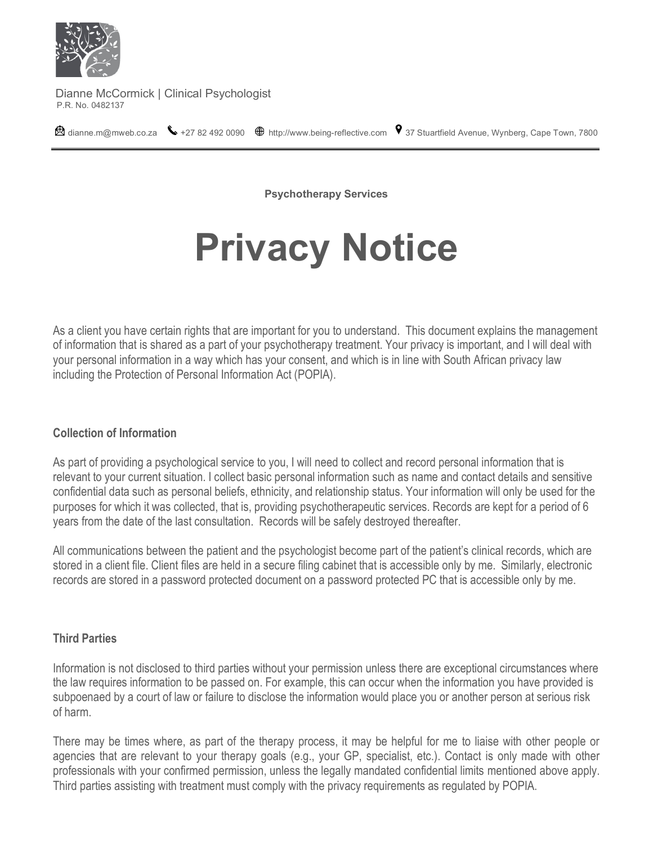

Dianne McCormick | Clinical Psychologist<br>P.R. No. 0482137

 $\bullet$  [dianne.m@mweb.co.za](mailto:dianne.m@mweb.co.za)  $\bullet$  +27 82 492 0090  $\bullet$  http:/[/www.being-reflective.com](http://www.being-reflective.com/)  $\bullet$  37 Stuartfield Avenue, Wynberg, Cape Town, 7800

**Psychotherapy Services** 

# **Privacy Notice**

As a client you have certain rights that are important for you to understand. This document explains the management of information that is shared as a part of your psychotherapy treatment. Your privacy is important, and I will deal with your personal information in a way which has your consent, and which is in line with South African privacy law including the Protection of Personal Information Act (POPIA).

## **Collection of Information**

As part of providing a psychological service to you, I will need to collect and record personal information that is relevant to your current situation. I collect basic personal information such as name and contact details and sensitive confidential data such as personal beliefs, ethnicity, and relationship status. Your information will only be used for the purposes for which it was collected, that is, providing psychotherapeutic services. Records are kept for a period of 6 years from the date of the last consultation. Records will be safely destroyed thereafter.

All communications between the patient and the psychologist become part of the patient's clinical records, which are stored in a client file. Client files are held in a secure filing cabinet that is accessible only by me. Similarly, electronic records are stored in a password protected document on a password protected PC that is accessible only by me.

## **Third Parties**

Information is not disclosed to third parties without your permission unless there are exceptional circumstances where the law requires information to be passed on. For example, this can occur when the information you have provided is subpoenaed by a court of law or failure to disclose the information would place you or another person at serious risk of harm.

There may be times where, as part of the therapy process, it may be helpful for me to liaise with other people or agencies that are relevant to your therapy goals (e.g., your GP, specialist, etc.). Contact is only made with other professionals with your confirmed permission, unless the legally mandated confidential limits mentioned above apply. Third parties assisting with treatment must comply with the privacy requirements as regulated by POPIA.